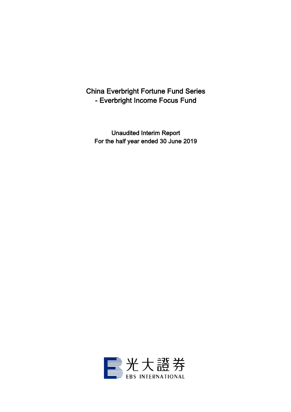# China Everbright Fortune Fund Series - Everbright Income Focus Fund

Unaudited Interim Report For the half year ended 30 June 2019

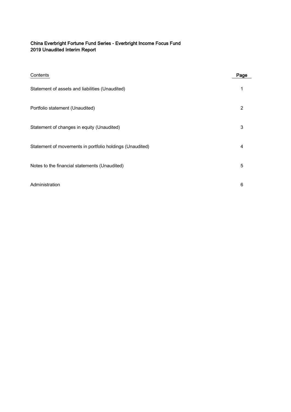# China Everbright Fortune Fund Series - Everbright Income Focus Fund 2019 Unaudited Interim Report

| Contents                                                 | Page |
|----------------------------------------------------------|------|
| Statement of assets and liabilities (Unaudited)          | 1    |
| Portfolio statement (Unaudited)                          | 2    |
| Statement of changes in equity (Unaudited)               | 3    |
| Statement of movements in portfolio holdings (Unaudited) | 4    |
| Notes to the financial statements (Unaudited)            | 5    |
| Administration                                           | 6    |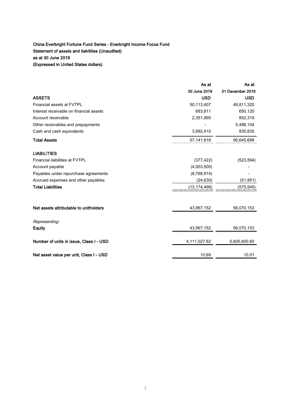# China Everbright Fortune Fund Series - Everbright Income Focus Fund Statement of assets and liabilities (Unaudited) as at 30 June 2019 (Expressed in United States dollars)

|                                         | As at          | As at            |
|-----------------------------------------|----------------|------------------|
|                                         | 30 June 2019   | 31 December 2018 |
| <b>ASSETS</b>                           | <b>USD</b>     | <b>USD</b>       |
| Financial assets at FVTPL               | 50,113,407     | 48,811,320       |
| Interest receivable on financial assets | 683,811        | 650,120          |
| Account receivable                      | 2,351,990      | 852,319          |
| Other receivables and prepayments       |                | 5,496,104        |
| Cash and cash equivalents               | 3,992,410      | 835,835          |
| <b>Total Assets</b>                     | 57,141,618     | 56,645,698       |
| <b>LIABILITIES</b>                      |                |                  |
| <b>Financial liabilities at FVTPL</b>   | (377, 422)     | (523, 594)       |
| Account payable                         | (4,003,500)    |                  |
| Payables under repurchase agreements    | (8,768,914)    |                  |
| Accrued expenses and other payables     | (24, 630)      | (51, 951)        |
| <b>Total Liabilities</b>                | (13, 174, 466) | (575, 545)       |
| Net assets attributable to unitholders  | 43,967,152     | 56,070,153       |
|                                         |                |                  |
| Representing:                           |                |                  |
| <b>Equity</b>                           | 43,967,152     | 56,070,153       |
| Number of units in issue, Class I - USD | 4,111,027.62   | 5,600,600.60     |
| Net asset value per unit, Class I - USD | 10.69          | 10.01            |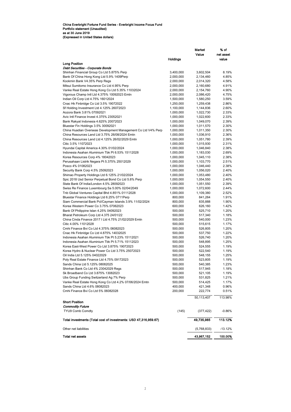| Value<br>net asset<br><b>Holdings</b><br>value<br><b>Long Position</b><br>Debt Securities - Corporate Bonds<br>Shinhan Financial Group Co Ltd 5.875% Perp<br>3,400,000<br>8.19%<br>3,602,504<br>Bank Of China Hong Kong Ltd 5.9% 1409Perp<br>4.85%<br>2,000,000<br>2,134,460<br>Kookmin Bank V4.35% Perp Regs<br>4.58%<br>2,000,000<br>2,014,320<br>Mitsui Sumitomo Insurance Co Ltd 4.95% Perp<br>4.91%<br>2,000,000<br>2,160,680<br>4.90%<br>Vanke Real Estate Hong Kong Co Ltd 5.35% 11032024<br>2,000,000<br>2,154,760<br>Vigorous Champ Intl Ltd 4.375% 10092023 Emtn<br>4.75%<br>2,000,000<br>2,086,420<br>Indian Oil Corp Ltd 4.75% 16012024<br>3.59%<br>1,500,000<br>1,580,250<br>2.86%<br>Cnac Hk Finbridge Co Ltd 3.5% 19072022<br>1,250,000<br>1,259,438<br>Sf Holding Investment Ltd 4.125% 26072023<br>1,100,000<br>2.60%<br>1,144,836<br>Aozora Bank 3.81% 07092021<br>2.33%<br>1,000,000<br>1,022,730<br>Avic Intl Finance Invest 4.375% 23052021<br>2.33%<br>1,000,000<br>1,022,600<br>2.39%<br>Bank Rakyat Indonesia 4.625% 20072023<br>1,000,000<br>1,049,070<br>Bluestar Fin Holdings 3.5% 30092021<br>1,000,000<br>2.30%<br>1,011,570<br>China Huadian Overseas Development Management Co Ltd V4% Perp<br>2.30%<br>1,000,000<br>1,011,350<br>China Resources Land Ltd 3.75% 26/08/2024 Emtn<br>2.36%<br>1,000,000<br>1,036,910<br>China Resources Land Ltd 4.125% 26/02/2029 Emtn<br>2.39%<br>1,000,000<br>1,051,780<br>Citic 3.5% 11072023<br>2.31%<br>1,000,000<br>1,015,930<br>2.38%<br>Hyundai Capital America 4.30% 01/02/2024<br>1,000,000<br>1,046,840<br>Indonesia Asahan Aluminium Tbk Pt 6.53% 15112028<br>2.69%<br>1,000,000<br>1,183,030<br>Korea Resources Corp 4% 18042023<br>2.38%<br>1,000,000<br>1,045,110<br>Perusahaan Listrik Negara Pt 5.375% 25012029<br>1,000,000<br>1,103,770<br>2.51%<br>Posco 4% 01082023<br>2.38%<br>1,000,000<br>1,046,440<br>Security Bank Corp 4.5% 25092023<br>2.40%<br>1,000,000<br>1,056,020<br>2.40%<br>Shimao Property Holdings Ltd 6.125% 21/02/2024<br>1,000,000<br>1,053,480<br>Spic 2018 Usd Senior Perpetual Bond Co Ltd 5.8% Perp<br>2.40%<br>1,000,000<br>1,054,550<br>2.39%<br>State Bank Of India/London 4.5% 28092023<br>1,000,000<br>1,051,550<br>Swiss Re Finance Luxembourg Sa 5.00% 02/04/2049<br>2.44%<br>1,000,000<br>1,072,600<br>Tnb Global Ventures Capital Bhd 4.851% 01112028<br>2.52%<br>1,000,000<br>1,109,380<br>Bluestar Finance Holdings Ltd 6.25% 0711 Perp<br>1.91%<br>800,000<br>841,264<br>Siam Commercial Bank Pcl/Cayman Islands 3.9% 11/02/2024<br>835,888<br>1.90%<br>800,000<br>Korea Western Power Co 3.75% 07062023<br>626,160<br>1.42%<br>600,000<br>Bank Of Philippine Islan 4.25% 04092023<br>1.20%<br>500,000<br>525,710<br>Bharat Petroleum Corp Ltd 4.375 24/01/22<br>1.18%<br>500,000<br>517,340<br>China Cinda Finance 2017 I Ltd 4.75% 21/02/2029 Emtn<br>500,000<br>540,000<br>1.23%<br>Citic 4.00% 11012028<br>500,000<br>515,615<br>1.17%<br>Cmhi Finance Bvi Co Ltd 4.375% 06082023<br>1.20%<br>500,000<br>526,805<br>1.22%<br>Cnac Hk Finbridge Co Ltd 4.875% 14032025<br>500,000<br>537,750<br>Indonesia Asahan Aluminium Tbk Pt 5.23% 15112021<br>1.20%<br>500,000<br>526,740<br>Indonesia Asahan Aluminium Tbk Pt 5.71% 15112023<br>1.25%<br>500,000<br>548,895<br>Korea East-West Power Co Ltd 3.875% 19072023<br>1.19%<br>500,000<br>524,555<br>Korea Hydro & Nuclear Power Co Ltd 3.75% 25072023<br>522,540<br>1.19%<br>500,000<br>1.25%<br>Oil India Ltd 5.125% 04022029<br>500,000<br>548,155<br>Poly Real Estate Finance Ltd 4.75% 09172023<br>500,000<br>1.19%<br>523,805<br>Sands China Ltd 5.125% 08082025<br>500,000<br>1.23%<br>540,385<br>Shinhan Bank Co Ltd 4% 23042029 Regs<br>500,000<br>517,945<br>1.18%<br>Sk Broadband Co Ltd 3.875% 13082023<br>500,000<br>521,105<br>1.19%<br>Ubs Group Funding Switzerland Ag 7% Perp<br>500,000<br>531,825<br>1.21%<br>Vanke Real Estate Hong Kong Co Ltd 4.2% 07/06/2024 Emtn<br>500,000<br>514,425<br>1.17%<br>Sands China Ltd 4.6% 08082023<br>400,000<br>421,348<br>0.96%<br>Cmhi Finance Bvi Co Ltd 5% 06082028<br>200,000<br>222,774<br>0.51%<br>50,113,407<br>113.98%<br><b>Short Position</b><br><b>Commodity Future</b><br>TYU9 Comb Comdty<br>(145)<br>$-0.86%$<br>(377, 422)<br>49,735,985<br>113.12%<br>Total investments (Total cost of investments: USD 47,316,959.67)<br>Other net liabilities<br>(5,768,833)<br>-13.12%<br>Total net assets<br>100.00%<br>43,967,152 |  | Market | % of |
|--------------------------------------------------------------------------------------------------------------------------------------------------------------------------------------------------------------------------------------------------------------------------------------------------------------------------------------------------------------------------------------------------------------------------------------------------------------------------------------------------------------------------------------------------------------------------------------------------------------------------------------------------------------------------------------------------------------------------------------------------------------------------------------------------------------------------------------------------------------------------------------------------------------------------------------------------------------------------------------------------------------------------------------------------------------------------------------------------------------------------------------------------------------------------------------------------------------------------------------------------------------------------------------------------------------------------------------------------------------------------------------------------------------------------------------------------------------------------------------------------------------------------------------------------------------------------------------------------------------------------------------------------------------------------------------------------------------------------------------------------------------------------------------------------------------------------------------------------------------------------------------------------------------------------------------------------------------------------------------------------------------------------------------------------------------------------------------------------------------------------------------------------------------------------------------------------------------------------------------------------------------------------------------------------------------------------------------------------------------------------------------------------------------------------------------------------------------------------------------------------------------------------------------------------------------------------------------------------------------------------------------------------------------------------------------------------------------------------------------------------------------------------------------------------------------------------------------------------------------------------------------------------------------------------------------------------------------------------------------------------------------------------------------------------------------------------------------------------------------------------------------------------------------------------------------------------------------------------------------------------------------------------------------------------------------------------------------------------------------------------------------------------------------------------------------------------------------------------------------------------------------------------------------------------------------------------------------------------------------------------------------------------------------------------------------------------------------------------------------------------------------------------------------------------------------------------------------------------------------------------------------------------------------------------------------------------------------------------------------------------------------------------------------------------------------------------------------------------------------------------------------------------------------------------------------------------------------------------------------------------------------------------------------------------------------------------------------------------------------------------------------------------------------------------------------------------------------------------|--|--------|------|
|                                                                                                                                                                                                                                                                                                                                                                                                                                                                                                                                                                                                                                                                                                                                                                                                                                                                                                                                                                                                                                                                                                                                                                                                                                                                                                                                                                                                                                                                                                                                                                                                                                                                                                                                                                                                                                                                                                                                                                                                                                                                                                                                                                                                                                                                                                                                                                                                                                                                                                                                                                                                                                                                                                                                                                                                                                                                                                                                                                                                                                                                                                                                                                                                                                                                                                                                                                                                                                                                                                                                                                                                                                                                                                                                                                                                                                                                                                                                                                                                                                                                                                                                                                                                                                                                                                                                                                                                                                                                          |  |        |      |
|                                                                                                                                                                                                                                                                                                                                                                                                                                                                                                                                                                                                                                                                                                                                                                                                                                                                                                                                                                                                                                                                                                                                                                                                                                                                                                                                                                                                                                                                                                                                                                                                                                                                                                                                                                                                                                                                                                                                                                                                                                                                                                                                                                                                                                                                                                                                                                                                                                                                                                                                                                                                                                                                                                                                                                                                                                                                                                                                                                                                                                                                                                                                                                                                                                                                                                                                                                                                                                                                                                                                                                                                                                                                                                                                                                                                                                                                                                                                                                                                                                                                                                                                                                                                                                                                                                                                                                                                                                                                          |  |        |      |
|                                                                                                                                                                                                                                                                                                                                                                                                                                                                                                                                                                                                                                                                                                                                                                                                                                                                                                                                                                                                                                                                                                                                                                                                                                                                                                                                                                                                                                                                                                                                                                                                                                                                                                                                                                                                                                                                                                                                                                                                                                                                                                                                                                                                                                                                                                                                                                                                                                                                                                                                                                                                                                                                                                                                                                                                                                                                                                                                                                                                                                                                                                                                                                                                                                                                                                                                                                                                                                                                                                                                                                                                                                                                                                                                                                                                                                                                                                                                                                                                                                                                                                                                                                                                                                                                                                                                                                                                                                                                          |  |        |      |
|                                                                                                                                                                                                                                                                                                                                                                                                                                                                                                                                                                                                                                                                                                                                                                                                                                                                                                                                                                                                                                                                                                                                                                                                                                                                                                                                                                                                                                                                                                                                                                                                                                                                                                                                                                                                                                                                                                                                                                                                                                                                                                                                                                                                                                                                                                                                                                                                                                                                                                                                                                                                                                                                                                                                                                                                                                                                                                                                                                                                                                                                                                                                                                                                                                                                                                                                                                                                                                                                                                                                                                                                                                                                                                                                                                                                                                                                                                                                                                                                                                                                                                                                                                                                                                                                                                                                                                                                                                                                          |  |        |      |
|                                                                                                                                                                                                                                                                                                                                                                                                                                                                                                                                                                                                                                                                                                                                                                                                                                                                                                                                                                                                                                                                                                                                                                                                                                                                                                                                                                                                                                                                                                                                                                                                                                                                                                                                                                                                                                                                                                                                                                                                                                                                                                                                                                                                                                                                                                                                                                                                                                                                                                                                                                                                                                                                                                                                                                                                                                                                                                                                                                                                                                                                                                                                                                                                                                                                                                                                                                                                                                                                                                                                                                                                                                                                                                                                                                                                                                                                                                                                                                                                                                                                                                                                                                                                                                                                                                                                                                                                                                                                          |  |        |      |
|                                                                                                                                                                                                                                                                                                                                                                                                                                                                                                                                                                                                                                                                                                                                                                                                                                                                                                                                                                                                                                                                                                                                                                                                                                                                                                                                                                                                                                                                                                                                                                                                                                                                                                                                                                                                                                                                                                                                                                                                                                                                                                                                                                                                                                                                                                                                                                                                                                                                                                                                                                                                                                                                                                                                                                                                                                                                                                                                                                                                                                                                                                                                                                                                                                                                                                                                                                                                                                                                                                                                                                                                                                                                                                                                                                                                                                                                                                                                                                                                                                                                                                                                                                                                                                                                                                                                                                                                                                                                          |  |        |      |
|                                                                                                                                                                                                                                                                                                                                                                                                                                                                                                                                                                                                                                                                                                                                                                                                                                                                                                                                                                                                                                                                                                                                                                                                                                                                                                                                                                                                                                                                                                                                                                                                                                                                                                                                                                                                                                                                                                                                                                                                                                                                                                                                                                                                                                                                                                                                                                                                                                                                                                                                                                                                                                                                                                                                                                                                                                                                                                                                                                                                                                                                                                                                                                                                                                                                                                                                                                                                                                                                                                                                                                                                                                                                                                                                                                                                                                                                                                                                                                                                                                                                                                                                                                                                                                                                                                                                                                                                                                                                          |  |        |      |
|                                                                                                                                                                                                                                                                                                                                                                                                                                                                                                                                                                                                                                                                                                                                                                                                                                                                                                                                                                                                                                                                                                                                                                                                                                                                                                                                                                                                                                                                                                                                                                                                                                                                                                                                                                                                                                                                                                                                                                                                                                                                                                                                                                                                                                                                                                                                                                                                                                                                                                                                                                                                                                                                                                                                                                                                                                                                                                                                                                                                                                                                                                                                                                                                                                                                                                                                                                                                                                                                                                                                                                                                                                                                                                                                                                                                                                                                                                                                                                                                                                                                                                                                                                                                                                                                                                                                                                                                                                                                          |  |        |      |
|                                                                                                                                                                                                                                                                                                                                                                                                                                                                                                                                                                                                                                                                                                                                                                                                                                                                                                                                                                                                                                                                                                                                                                                                                                                                                                                                                                                                                                                                                                                                                                                                                                                                                                                                                                                                                                                                                                                                                                                                                                                                                                                                                                                                                                                                                                                                                                                                                                                                                                                                                                                                                                                                                                                                                                                                                                                                                                                                                                                                                                                                                                                                                                                                                                                                                                                                                                                                                                                                                                                                                                                                                                                                                                                                                                                                                                                                                                                                                                                                                                                                                                                                                                                                                                                                                                                                                                                                                                                                          |  |        |      |
|                                                                                                                                                                                                                                                                                                                                                                                                                                                                                                                                                                                                                                                                                                                                                                                                                                                                                                                                                                                                                                                                                                                                                                                                                                                                                                                                                                                                                                                                                                                                                                                                                                                                                                                                                                                                                                                                                                                                                                                                                                                                                                                                                                                                                                                                                                                                                                                                                                                                                                                                                                                                                                                                                                                                                                                                                                                                                                                                                                                                                                                                                                                                                                                                                                                                                                                                                                                                                                                                                                                                                                                                                                                                                                                                                                                                                                                                                                                                                                                                                                                                                                                                                                                                                                                                                                                                                                                                                                                                          |  |        |      |
|                                                                                                                                                                                                                                                                                                                                                                                                                                                                                                                                                                                                                                                                                                                                                                                                                                                                                                                                                                                                                                                                                                                                                                                                                                                                                                                                                                                                                                                                                                                                                                                                                                                                                                                                                                                                                                                                                                                                                                                                                                                                                                                                                                                                                                                                                                                                                                                                                                                                                                                                                                                                                                                                                                                                                                                                                                                                                                                                                                                                                                                                                                                                                                                                                                                                                                                                                                                                                                                                                                                                                                                                                                                                                                                                                                                                                                                                                                                                                                                                                                                                                                                                                                                                                                                                                                                                                                                                                                                                          |  |        |      |
|                                                                                                                                                                                                                                                                                                                                                                                                                                                                                                                                                                                                                                                                                                                                                                                                                                                                                                                                                                                                                                                                                                                                                                                                                                                                                                                                                                                                                                                                                                                                                                                                                                                                                                                                                                                                                                                                                                                                                                                                                                                                                                                                                                                                                                                                                                                                                                                                                                                                                                                                                                                                                                                                                                                                                                                                                                                                                                                                                                                                                                                                                                                                                                                                                                                                                                                                                                                                                                                                                                                                                                                                                                                                                                                                                                                                                                                                                                                                                                                                                                                                                                                                                                                                                                                                                                                                                                                                                                                                          |  |        |      |
|                                                                                                                                                                                                                                                                                                                                                                                                                                                                                                                                                                                                                                                                                                                                                                                                                                                                                                                                                                                                                                                                                                                                                                                                                                                                                                                                                                                                                                                                                                                                                                                                                                                                                                                                                                                                                                                                                                                                                                                                                                                                                                                                                                                                                                                                                                                                                                                                                                                                                                                                                                                                                                                                                                                                                                                                                                                                                                                                                                                                                                                                                                                                                                                                                                                                                                                                                                                                                                                                                                                                                                                                                                                                                                                                                                                                                                                                                                                                                                                                                                                                                                                                                                                                                                                                                                                                                                                                                                                                          |  |        |      |
|                                                                                                                                                                                                                                                                                                                                                                                                                                                                                                                                                                                                                                                                                                                                                                                                                                                                                                                                                                                                                                                                                                                                                                                                                                                                                                                                                                                                                                                                                                                                                                                                                                                                                                                                                                                                                                                                                                                                                                                                                                                                                                                                                                                                                                                                                                                                                                                                                                                                                                                                                                                                                                                                                                                                                                                                                                                                                                                                                                                                                                                                                                                                                                                                                                                                                                                                                                                                                                                                                                                                                                                                                                                                                                                                                                                                                                                                                                                                                                                                                                                                                                                                                                                                                                                                                                                                                                                                                                                                          |  |        |      |
|                                                                                                                                                                                                                                                                                                                                                                                                                                                                                                                                                                                                                                                                                                                                                                                                                                                                                                                                                                                                                                                                                                                                                                                                                                                                                                                                                                                                                                                                                                                                                                                                                                                                                                                                                                                                                                                                                                                                                                                                                                                                                                                                                                                                                                                                                                                                                                                                                                                                                                                                                                                                                                                                                                                                                                                                                                                                                                                                                                                                                                                                                                                                                                                                                                                                                                                                                                                                                                                                                                                                                                                                                                                                                                                                                                                                                                                                                                                                                                                                                                                                                                                                                                                                                                                                                                                                                                                                                                                                          |  |        |      |
|                                                                                                                                                                                                                                                                                                                                                                                                                                                                                                                                                                                                                                                                                                                                                                                                                                                                                                                                                                                                                                                                                                                                                                                                                                                                                                                                                                                                                                                                                                                                                                                                                                                                                                                                                                                                                                                                                                                                                                                                                                                                                                                                                                                                                                                                                                                                                                                                                                                                                                                                                                                                                                                                                                                                                                                                                                                                                                                                                                                                                                                                                                                                                                                                                                                                                                                                                                                                                                                                                                                                                                                                                                                                                                                                                                                                                                                                                                                                                                                                                                                                                                                                                                                                                                                                                                                                                                                                                                                                          |  |        |      |
|                                                                                                                                                                                                                                                                                                                                                                                                                                                                                                                                                                                                                                                                                                                                                                                                                                                                                                                                                                                                                                                                                                                                                                                                                                                                                                                                                                                                                                                                                                                                                                                                                                                                                                                                                                                                                                                                                                                                                                                                                                                                                                                                                                                                                                                                                                                                                                                                                                                                                                                                                                                                                                                                                                                                                                                                                                                                                                                                                                                                                                                                                                                                                                                                                                                                                                                                                                                                                                                                                                                                                                                                                                                                                                                                                                                                                                                                                                                                                                                                                                                                                                                                                                                                                                                                                                                                                                                                                                                                          |  |        |      |
|                                                                                                                                                                                                                                                                                                                                                                                                                                                                                                                                                                                                                                                                                                                                                                                                                                                                                                                                                                                                                                                                                                                                                                                                                                                                                                                                                                                                                                                                                                                                                                                                                                                                                                                                                                                                                                                                                                                                                                                                                                                                                                                                                                                                                                                                                                                                                                                                                                                                                                                                                                                                                                                                                                                                                                                                                                                                                                                                                                                                                                                                                                                                                                                                                                                                                                                                                                                                                                                                                                                                                                                                                                                                                                                                                                                                                                                                                                                                                                                                                                                                                                                                                                                                                                                                                                                                                                                                                                                                          |  |        |      |
|                                                                                                                                                                                                                                                                                                                                                                                                                                                                                                                                                                                                                                                                                                                                                                                                                                                                                                                                                                                                                                                                                                                                                                                                                                                                                                                                                                                                                                                                                                                                                                                                                                                                                                                                                                                                                                                                                                                                                                                                                                                                                                                                                                                                                                                                                                                                                                                                                                                                                                                                                                                                                                                                                                                                                                                                                                                                                                                                                                                                                                                                                                                                                                                                                                                                                                                                                                                                                                                                                                                                                                                                                                                                                                                                                                                                                                                                                                                                                                                                                                                                                                                                                                                                                                                                                                                                                                                                                                                                          |  |        |      |
|                                                                                                                                                                                                                                                                                                                                                                                                                                                                                                                                                                                                                                                                                                                                                                                                                                                                                                                                                                                                                                                                                                                                                                                                                                                                                                                                                                                                                                                                                                                                                                                                                                                                                                                                                                                                                                                                                                                                                                                                                                                                                                                                                                                                                                                                                                                                                                                                                                                                                                                                                                                                                                                                                                                                                                                                                                                                                                                                                                                                                                                                                                                                                                                                                                                                                                                                                                                                                                                                                                                                                                                                                                                                                                                                                                                                                                                                                                                                                                                                                                                                                                                                                                                                                                                                                                                                                                                                                                                                          |  |        |      |
|                                                                                                                                                                                                                                                                                                                                                                                                                                                                                                                                                                                                                                                                                                                                                                                                                                                                                                                                                                                                                                                                                                                                                                                                                                                                                                                                                                                                                                                                                                                                                                                                                                                                                                                                                                                                                                                                                                                                                                                                                                                                                                                                                                                                                                                                                                                                                                                                                                                                                                                                                                                                                                                                                                                                                                                                                                                                                                                                                                                                                                                                                                                                                                                                                                                                                                                                                                                                                                                                                                                                                                                                                                                                                                                                                                                                                                                                                                                                                                                                                                                                                                                                                                                                                                                                                                                                                                                                                                                                          |  |        |      |
|                                                                                                                                                                                                                                                                                                                                                                                                                                                                                                                                                                                                                                                                                                                                                                                                                                                                                                                                                                                                                                                                                                                                                                                                                                                                                                                                                                                                                                                                                                                                                                                                                                                                                                                                                                                                                                                                                                                                                                                                                                                                                                                                                                                                                                                                                                                                                                                                                                                                                                                                                                                                                                                                                                                                                                                                                                                                                                                                                                                                                                                                                                                                                                                                                                                                                                                                                                                                                                                                                                                                                                                                                                                                                                                                                                                                                                                                                                                                                                                                                                                                                                                                                                                                                                                                                                                                                                                                                                                                          |  |        |      |
|                                                                                                                                                                                                                                                                                                                                                                                                                                                                                                                                                                                                                                                                                                                                                                                                                                                                                                                                                                                                                                                                                                                                                                                                                                                                                                                                                                                                                                                                                                                                                                                                                                                                                                                                                                                                                                                                                                                                                                                                                                                                                                                                                                                                                                                                                                                                                                                                                                                                                                                                                                                                                                                                                                                                                                                                                                                                                                                                                                                                                                                                                                                                                                                                                                                                                                                                                                                                                                                                                                                                                                                                                                                                                                                                                                                                                                                                                                                                                                                                                                                                                                                                                                                                                                                                                                                                                                                                                                                                          |  |        |      |
|                                                                                                                                                                                                                                                                                                                                                                                                                                                                                                                                                                                                                                                                                                                                                                                                                                                                                                                                                                                                                                                                                                                                                                                                                                                                                                                                                                                                                                                                                                                                                                                                                                                                                                                                                                                                                                                                                                                                                                                                                                                                                                                                                                                                                                                                                                                                                                                                                                                                                                                                                                                                                                                                                                                                                                                                                                                                                                                                                                                                                                                                                                                                                                                                                                                                                                                                                                                                                                                                                                                                                                                                                                                                                                                                                                                                                                                                                                                                                                                                                                                                                                                                                                                                                                                                                                                                                                                                                                                                          |  |        |      |
|                                                                                                                                                                                                                                                                                                                                                                                                                                                                                                                                                                                                                                                                                                                                                                                                                                                                                                                                                                                                                                                                                                                                                                                                                                                                                                                                                                                                                                                                                                                                                                                                                                                                                                                                                                                                                                                                                                                                                                                                                                                                                                                                                                                                                                                                                                                                                                                                                                                                                                                                                                                                                                                                                                                                                                                                                                                                                                                                                                                                                                                                                                                                                                                                                                                                                                                                                                                                                                                                                                                                                                                                                                                                                                                                                                                                                                                                                                                                                                                                                                                                                                                                                                                                                                                                                                                                                                                                                                                                          |  |        |      |
|                                                                                                                                                                                                                                                                                                                                                                                                                                                                                                                                                                                                                                                                                                                                                                                                                                                                                                                                                                                                                                                                                                                                                                                                                                                                                                                                                                                                                                                                                                                                                                                                                                                                                                                                                                                                                                                                                                                                                                                                                                                                                                                                                                                                                                                                                                                                                                                                                                                                                                                                                                                                                                                                                                                                                                                                                                                                                                                                                                                                                                                                                                                                                                                                                                                                                                                                                                                                                                                                                                                                                                                                                                                                                                                                                                                                                                                                                                                                                                                                                                                                                                                                                                                                                                                                                                                                                                                                                                                                          |  |        |      |
|                                                                                                                                                                                                                                                                                                                                                                                                                                                                                                                                                                                                                                                                                                                                                                                                                                                                                                                                                                                                                                                                                                                                                                                                                                                                                                                                                                                                                                                                                                                                                                                                                                                                                                                                                                                                                                                                                                                                                                                                                                                                                                                                                                                                                                                                                                                                                                                                                                                                                                                                                                                                                                                                                                                                                                                                                                                                                                                                                                                                                                                                                                                                                                                                                                                                                                                                                                                                                                                                                                                                                                                                                                                                                                                                                                                                                                                                                                                                                                                                                                                                                                                                                                                                                                                                                                                                                                                                                                                                          |  |        |      |
|                                                                                                                                                                                                                                                                                                                                                                                                                                                                                                                                                                                                                                                                                                                                                                                                                                                                                                                                                                                                                                                                                                                                                                                                                                                                                                                                                                                                                                                                                                                                                                                                                                                                                                                                                                                                                                                                                                                                                                                                                                                                                                                                                                                                                                                                                                                                                                                                                                                                                                                                                                                                                                                                                                                                                                                                                                                                                                                                                                                                                                                                                                                                                                                                                                                                                                                                                                                                                                                                                                                                                                                                                                                                                                                                                                                                                                                                                                                                                                                                                                                                                                                                                                                                                                                                                                                                                                                                                                                                          |  |        |      |
|                                                                                                                                                                                                                                                                                                                                                                                                                                                                                                                                                                                                                                                                                                                                                                                                                                                                                                                                                                                                                                                                                                                                                                                                                                                                                                                                                                                                                                                                                                                                                                                                                                                                                                                                                                                                                                                                                                                                                                                                                                                                                                                                                                                                                                                                                                                                                                                                                                                                                                                                                                                                                                                                                                                                                                                                                                                                                                                                                                                                                                                                                                                                                                                                                                                                                                                                                                                                                                                                                                                                                                                                                                                                                                                                                                                                                                                                                                                                                                                                                                                                                                                                                                                                                                                                                                                                                                                                                                                                          |  |        |      |
|                                                                                                                                                                                                                                                                                                                                                                                                                                                                                                                                                                                                                                                                                                                                                                                                                                                                                                                                                                                                                                                                                                                                                                                                                                                                                                                                                                                                                                                                                                                                                                                                                                                                                                                                                                                                                                                                                                                                                                                                                                                                                                                                                                                                                                                                                                                                                                                                                                                                                                                                                                                                                                                                                                                                                                                                                                                                                                                                                                                                                                                                                                                                                                                                                                                                                                                                                                                                                                                                                                                                                                                                                                                                                                                                                                                                                                                                                                                                                                                                                                                                                                                                                                                                                                                                                                                                                                                                                                                                          |  |        |      |
|                                                                                                                                                                                                                                                                                                                                                                                                                                                                                                                                                                                                                                                                                                                                                                                                                                                                                                                                                                                                                                                                                                                                                                                                                                                                                                                                                                                                                                                                                                                                                                                                                                                                                                                                                                                                                                                                                                                                                                                                                                                                                                                                                                                                                                                                                                                                                                                                                                                                                                                                                                                                                                                                                                                                                                                                                                                                                                                                                                                                                                                                                                                                                                                                                                                                                                                                                                                                                                                                                                                                                                                                                                                                                                                                                                                                                                                                                                                                                                                                                                                                                                                                                                                                                                                                                                                                                                                                                                                                          |  |        |      |
|                                                                                                                                                                                                                                                                                                                                                                                                                                                                                                                                                                                                                                                                                                                                                                                                                                                                                                                                                                                                                                                                                                                                                                                                                                                                                                                                                                                                                                                                                                                                                                                                                                                                                                                                                                                                                                                                                                                                                                                                                                                                                                                                                                                                                                                                                                                                                                                                                                                                                                                                                                                                                                                                                                                                                                                                                                                                                                                                                                                                                                                                                                                                                                                                                                                                                                                                                                                                                                                                                                                                                                                                                                                                                                                                                                                                                                                                                                                                                                                                                                                                                                                                                                                                                                                                                                                                                                                                                                                                          |  |        |      |
|                                                                                                                                                                                                                                                                                                                                                                                                                                                                                                                                                                                                                                                                                                                                                                                                                                                                                                                                                                                                                                                                                                                                                                                                                                                                                                                                                                                                                                                                                                                                                                                                                                                                                                                                                                                                                                                                                                                                                                                                                                                                                                                                                                                                                                                                                                                                                                                                                                                                                                                                                                                                                                                                                                                                                                                                                                                                                                                                                                                                                                                                                                                                                                                                                                                                                                                                                                                                                                                                                                                                                                                                                                                                                                                                                                                                                                                                                                                                                                                                                                                                                                                                                                                                                                                                                                                                                                                                                                                                          |  |        |      |
|                                                                                                                                                                                                                                                                                                                                                                                                                                                                                                                                                                                                                                                                                                                                                                                                                                                                                                                                                                                                                                                                                                                                                                                                                                                                                                                                                                                                                                                                                                                                                                                                                                                                                                                                                                                                                                                                                                                                                                                                                                                                                                                                                                                                                                                                                                                                                                                                                                                                                                                                                                                                                                                                                                                                                                                                                                                                                                                                                                                                                                                                                                                                                                                                                                                                                                                                                                                                                                                                                                                                                                                                                                                                                                                                                                                                                                                                                                                                                                                                                                                                                                                                                                                                                                                                                                                                                                                                                                                                          |  |        |      |
|                                                                                                                                                                                                                                                                                                                                                                                                                                                                                                                                                                                                                                                                                                                                                                                                                                                                                                                                                                                                                                                                                                                                                                                                                                                                                                                                                                                                                                                                                                                                                                                                                                                                                                                                                                                                                                                                                                                                                                                                                                                                                                                                                                                                                                                                                                                                                                                                                                                                                                                                                                                                                                                                                                                                                                                                                                                                                                                                                                                                                                                                                                                                                                                                                                                                                                                                                                                                                                                                                                                                                                                                                                                                                                                                                                                                                                                                                                                                                                                                                                                                                                                                                                                                                                                                                                                                                                                                                                                                          |  |        |      |
|                                                                                                                                                                                                                                                                                                                                                                                                                                                                                                                                                                                                                                                                                                                                                                                                                                                                                                                                                                                                                                                                                                                                                                                                                                                                                                                                                                                                                                                                                                                                                                                                                                                                                                                                                                                                                                                                                                                                                                                                                                                                                                                                                                                                                                                                                                                                                                                                                                                                                                                                                                                                                                                                                                                                                                                                                                                                                                                                                                                                                                                                                                                                                                                                                                                                                                                                                                                                                                                                                                                                                                                                                                                                                                                                                                                                                                                                                                                                                                                                                                                                                                                                                                                                                                                                                                                                                                                                                                                                          |  |        |      |
|                                                                                                                                                                                                                                                                                                                                                                                                                                                                                                                                                                                                                                                                                                                                                                                                                                                                                                                                                                                                                                                                                                                                                                                                                                                                                                                                                                                                                                                                                                                                                                                                                                                                                                                                                                                                                                                                                                                                                                                                                                                                                                                                                                                                                                                                                                                                                                                                                                                                                                                                                                                                                                                                                                                                                                                                                                                                                                                                                                                                                                                                                                                                                                                                                                                                                                                                                                                                                                                                                                                                                                                                                                                                                                                                                                                                                                                                                                                                                                                                                                                                                                                                                                                                                                                                                                                                                                                                                                                                          |  |        |      |
|                                                                                                                                                                                                                                                                                                                                                                                                                                                                                                                                                                                                                                                                                                                                                                                                                                                                                                                                                                                                                                                                                                                                                                                                                                                                                                                                                                                                                                                                                                                                                                                                                                                                                                                                                                                                                                                                                                                                                                                                                                                                                                                                                                                                                                                                                                                                                                                                                                                                                                                                                                                                                                                                                                                                                                                                                                                                                                                                                                                                                                                                                                                                                                                                                                                                                                                                                                                                                                                                                                                                                                                                                                                                                                                                                                                                                                                                                                                                                                                                                                                                                                                                                                                                                                                                                                                                                                                                                                                                          |  |        |      |
|                                                                                                                                                                                                                                                                                                                                                                                                                                                                                                                                                                                                                                                                                                                                                                                                                                                                                                                                                                                                                                                                                                                                                                                                                                                                                                                                                                                                                                                                                                                                                                                                                                                                                                                                                                                                                                                                                                                                                                                                                                                                                                                                                                                                                                                                                                                                                                                                                                                                                                                                                                                                                                                                                                                                                                                                                                                                                                                                                                                                                                                                                                                                                                                                                                                                                                                                                                                                                                                                                                                                                                                                                                                                                                                                                                                                                                                                                                                                                                                                                                                                                                                                                                                                                                                                                                                                                                                                                                                                          |  |        |      |
|                                                                                                                                                                                                                                                                                                                                                                                                                                                                                                                                                                                                                                                                                                                                                                                                                                                                                                                                                                                                                                                                                                                                                                                                                                                                                                                                                                                                                                                                                                                                                                                                                                                                                                                                                                                                                                                                                                                                                                                                                                                                                                                                                                                                                                                                                                                                                                                                                                                                                                                                                                                                                                                                                                                                                                                                                                                                                                                                                                                                                                                                                                                                                                                                                                                                                                                                                                                                                                                                                                                                                                                                                                                                                                                                                                                                                                                                                                                                                                                                                                                                                                                                                                                                                                                                                                                                                                                                                                                                          |  |        |      |
|                                                                                                                                                                                                                                                                                                                                                                                                                                                                                                                                                                                                                                                                                                                                                                                                                                                                                                                                                                                                                                                                                                                                                                                                                                                                                                                                                                                                                                                                                                                                                                                                                                                                                                                                                                                                                                                                                                                                                                                                                                                                                                                                                                                                                                                                                                                                                                                                                                                                                                                                                                                                                                                                                                                                                                                                                                                                                                                                                                                                                                                                                                                                                                                                                                                                                                                                                                                                                                                                                                                                                                                                                                                                                                                                                                                                                                                                                                                                                                                                                                                                                                                                                                                                                                                                                                                                                                                                                                                                          |  |        |      |
|                                                                                                                                                                                                                                                                                                                                                                                                                                                                                                                                                                                                                                                                                                                                                                                                                                                                                                                                                                                                                                                                                                                                                                                                                                                                                                                                                                                                                                                                                                                                                                                                                                                                                                                                                                                                                                                                                                                                                                                                                                                                                                                                                                                                                                                                                                                                                                                                                                                                                                                                                                                                                                                                                                                                                                                                                                                                                                                                                                                                                                                                                                                                                                                                                                                                                                                                                                                                                                                                                                                                                                                                                                                                                                                                                                                                                                                                                                                                                                                                                                                                                                                                                                                                                                                                                                                                                                                                                                                                          |  |        |      |
|                                                                                                                                                                                                                                                                                                                                                                                                                                                                                                                                                                                                                                                                                                                                                                                                                                                                                                                                                                                                                                                                                                                                                                                                                                                                                                                                                                                                                                                                                                                                                                                                                                                                                                                                                                                                                                                                                                                                                                                                                                                                                                                                                                                                                                                                                                                                                                                                                                                                                                                                                                                                                                                                                                                                                                                                                                                                                                                                                                                                                                                                                                                                                                                                                                                                                                                                                                                                                                                                                                                                                                                                                                                                                                                                                                                                                                                                                                                                                                                                                                                                                                                                                                                                                                                                                                                                                                                                                                                                          |  |        |      |
|                                                                                                                                                                                                                                                                                                                                                                                                                                                                                                                                                                                                                                                                                                                                                                                                                                                                                                                                                                                                                                                                                                                                                                                                                                                                                                                                                                                                                                                                                                                                                                                                                                                                                                                                                                                                                                                                                                                                                                                                                                                                                                                                                                                                                                                                                                                                                                                                                                                                                                                                                                                                                                                                                                                                                                                                                                                                                                                                                                                                                                                                                                                                                                                                                                                                                                                                                                                                                                                                                                                                                                                                                                                                                                                                                                                                                                                                                                                                                                                                                                                                                                                                                                                                                                                                                                                                                                                                                                                                          |  |        |      |
|                                                                                                                                                                                                                                                                                                                                                                                                                                                                                                                                                                                                                                                                                                                                                                                                                                                                                                                                                                                                                                                                                                                                                                                                                                                                                                                                                                                                                                                                                                                                                                                                                                                                                                                                                                                                                                                                                                                                                                                                                                                                                                                                                                                                                                                                                                                                                                                                                                                                                                                                                                                                                                                                                                                                                                                                                                                                                                                                                                                                                                                                                                                                                                                                                                                                                                                                                                                                                                                                                                                                                                                                                                                                                                                                                                                                                                                                                                                                                                                                                                                                                                                                                                                                                                                                                                                                                                                                                                                                          |  |        |      |
|                                                                                                                                                                                                                                                                                                                                                                                                                                                                                                                                                                                                                                                                                                                                                                                                                                                                                                                                                                                                                                                                                                                                                                                                                                                                                                                                                                                                                                                                                                                                                                                                                                                                                                                                                                                                                                                                                                                                                                                                                                                                                                                                                                                                                                                                                                                                                                                                                                                                                                                                                                                                                                                                                                                                                                                                                                                                                                                                                                                                                                                                                                                                                                                                                                                                                                                                                                                                                                                                                                                                                                                                                                                                                                                                                                                                                                                                                                                                                                                                                                                                                                                                                                                                                                                                                                                                                                                                                                                                          |  |        |      |
|                                                                                                                                                                                                                                                                                                                                                                                                                                                                                                                                                                                                                                                                                                                                                                                                                                                                                                                                                                                                                                                                                                                                                                                                                                                                                                                                                                                                                                                                                                                                                                                                                                                                                                                                                                                                                                                                                                                                                                                                                                                                                                                                                                                                                                                                                                                                                                                                                                                                                                                                                                                                                                                                                                                                                                                                                                                                                                                                                                                                                                                                                                                                                                                                                                                                                                                                                                                                                                                                                                                                                                                                                                                                                                                                                                                                                                                                                                                                                                                                                                                                                                                                                                                                                                                                                                                                                                                                                                                                          |  |        |      |
|                                                                                                                                                                                                                                                                                                                                                                                                                                                                                                                                                                                                                                                                                                                                                                                                                                                                                                                                                                                                                                                                                                                                                                                                                                                                                                                                                                                                                                                                                                                                                                                                                                                                                                                                                                                                                                                                                                                                                                                                                                                                                                                                                                                                                                                                                                                                                                                                                                                                                                                                                                                                                                                                                                                                                                                                                                                                                                                                                                                                                                                                                                                                                                                                                                                                                                                                                                                                                                                                                                                                                                                                                                                                                                                                                                                                                                                                                                                                                                                                                                                                                                                                                                                                                                                                                                                                                                                                                                                                          |  |        |      |
|                                                                                                                                                                                                                                                                                                                                                                                                                                                                                                                                                                                                                                                                                                                                                                                                                                                                                                                                                                                                                                                                                                                                                                                                                                                                                                                                                                                                                                                                                                                                                                                                                                                                                                                                                                                                                                                                                                                                                                                                                                                                                                                                                                                                                                                                                                                                                                                                                                                                                                                                                                                                                                                                                                                                                                                                                                                                                                                                                                                                                                                                                                                                                                                                                                                                                                                                                                                                                                                                                                                                                                                                                                                                                                                                                                                                                                                                                                                                                                                                                                                                                                                                                                                                                                                                                                                                                                                                                                                                          |  |        |      |
|                                                                                                                                                                                                                                                                                                                                                                                                                                                                                                                                                                                                                                                                                                                                                                                                                                                                                                                                                                                                                                                                                                                                                                                                                                                                                                                                                                                                                                                                                                                                                                                                                                                                                                                                                                                                                                                                                                                                                                                                                                                                                                                                                                                                                                                                                                                                                                                                                                                                                                                                                                                                                                                                                                                                                                                                                                                                                                                                                                                                                                                                                                                                                                                                                                                                                                                                                                                                                                                                                                                                                                                                                                                                                                                                                                                                                                                                                                                                                                                                                                                                                                                                                                                                                                                                                                                                                                                                                                                                          |  |        |      |
|                                                                                                                                                                                                                                                                                                                                                                                                                                                                                                                                                                                                                                                                                                                                                                                                                                                                                                                                                                                                                                                                                                                                                                                                                                                                                                                                                                                                                                                                                                                                                                                                                                                                                                                                                                                                                                                                                                                                                                                                                                                                                                                                                                                                                                                                                                                                                                                                                                                                                                                                                                                                                                                                                                                                                                                                                                                                                                                                                                                                                                                                                                                                                                                                                                                                                                                                                                                                                                                                                                                                                                                                                                                                                                                                                                                                                                                                                                                                                                                                                                                                                                                                                                                                                                                                                                                                                                                                                                                                          |  |        |      |
|                                                                                                                                                                                                                                                                                                                                                                                                                                                                                                                                                                                                                                                                                                                                                                                                                                                                                                                                                                                                                                                                                                                                                                                                                                                                                                                                                                                                                                                                                                                                                                                                                                                                                                                                                                                                                                                                                                                                                                                                                                                                                                                                                                                                                                                                                                                                                                                                                                                                                                                                                                                                                                                                                                                                                                                                                                                                                                                                                                                                                                                                                                                                                                                                                                                                                                                                                                                                                                                                                                                                                                                                                                                                                                                                                                                                                                                                                                                                                                                                                                                                                                                                                                                                                                                                                                                                                                                                                                                                          |  |        |      |
|                                                                                                                                                                                                                                                                                                                                                                                                                                                                                                                                                                                                                                                                                                                                                                                                                                                                                                                                                                                                                                                                                                                                                                                                                                                                                                                                                                                                                                                                                                                                                                                                                                                                                                                                                                                                                                                                                                                                                                                                                                                                                                                                                                                                                                                                                                                                                                                                                                                                                                                                                                                                                                                                                                                                                                                                                                                                                                                                                                                                                                                                                                                                                                                                                                                                                                                                                                                                                                                                                                                                                                                                                                                                                                                                                                                                                                                                                                                                                                                                                                                                                                                                                                                                                                                                                                                                                                                                                                                                          |  |        |      |
|                                                                                                                                                                                                                                                                                                                                                                                                                                                                                                                                                                                                                                                                                                                                                                                                                                                                                                                                                                                                                                                                                                                                                                                                                                                                                                                                                                                                                                                                                                                                                                                                                                                                                                                                                                                                                                                                                                                                                                                                                                                                                                                                                                                                                                                                                                                                                                                                                                                                                                                                                                                                                                                                                                                                                                                                                                                                                                                                                                                                                                                                                                                                                                                                                                                                                                                                                                                                                                                                                                                                                                                                                                                                                                                                                                                                                                                                                                                                                                                                                                                                                                                                                                                                                                                                                                                                                                                                                                                                          |  |        |      |
|                                                                                                                                                                                                                                                                                                                                                                                                                                                                                                                                                                                                                                                                                                                                                                                                                                                                                                                                                                                                                                                                                                                                                                                                                                                                                                                                                                                                                                                                                                                                                                                                                                                                                                                                                                                                                                                                                                                                                                                                                                                                                                                                                                                                                                                                                                                                                                                                                                                                                                                                                                                                                                                                                                                                                                                                                                                                                                                                                                                                                                                                                                                                                                                                                                                                                                                                                                                                                                                                                                                                                                                                                                                                                                                                                                                                                                                                                                                                                                                                                                                                                                                                                                                                                                                                                                                                                                                                                                                                          |  |        |      |
|                                                                                                                                                                                                                                                                                                                                                                                                                                                                                                                                                                                                                                                                                                                                                                                                                                                                                                                                                                                                                                                                                                                                                                                                                                                                                                                                                                                                                                                                                                                                                                                                                                                                                                                                                                                                                                                                                                                                                                                                                                                                                                                                                                                                                                                                                                                                                                                                                                                                                                                                                                                                                                                                                                                                                                                                                                                                                                                                                                                                                                                                                                                                                                                                                                                                                                                                                                                                                                                                                                                                                                                                                                                                                                                                                                                                                                                                                                                                                                                                                                                                                                                                                                                                                                                                                                                                                                                                                                                                          |  |        |      |
|                                                                                                                                                                                                                                                                                                                                                                                                                                                                                                                                                                                                                                                                                                                                                                                                                                                                                                                                                                                                                                                                                                                                                                                                                                                                                                                                                                                                                                                                                                                                                                                                                                                                                                                                                                                                                                                                                                                                                                                                                                                                                                                                                                                                                                                                                                                                                                                                                                                                                                                                                                                                                                                                                                                                                                                                                                                                                                                                                                                                                                                                                                                                                                                                                                                                                                                                                                                                                                                                                                                                                                                                                                                                                                                                                                                                                                                                                                                                                                                                                                                                                                                                                                                                                                                                                                                                                                                                                                                                          |  |        |      |
|                                                                                                                                                                                                                                                                                                                                                                                                                                                                                                                                                                                                                                                                                                                                                                                                                                                                                                                                                                                                                                                                                                                                                                                                                                                                                                                                                                                                                                                                                                                                                                                                                                                                                                                                                                                                                                                                                                                                                                                                                                                                                                                                                                                                                                                                                                                                                                                                                                                                                                                                                                                                                                                                                                                                                                                                                                                                                                                                                                                                                                                                                                                                                                                                                                                                                                                                                                                                                                                                                                                                                                                                                                                                                                                                                                                                                                                                                                                                                                                                                                                                                                                                                                                                                                                                                                                                                                                                                                                                          |  |        |      |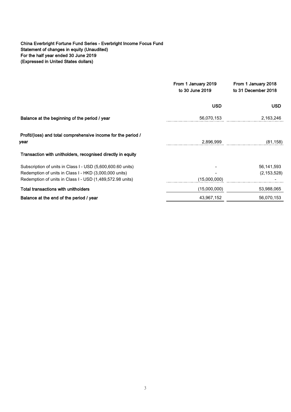## China Everbright Fortune Fund Series - Everbright Income Focus Fund Statement of changes in equity (Unaudited) For the half year ended 30 June 2019 (Expressed in United States dollars)

|                                                                                                                                                                                    | From 1 January 2019<br>to 30 June 2019 | From 1 January 2018<br>to 31 December 2018 |
|------------------------------------------------------------------------------------------------------------------------------------------------------------------------------------|----------------------------------------|--------------------------------------------|
|                                                                                                                                                                                    | <b>USD</b>                             | <b>USD</b>                                 |
| Balance at the beginning of the period / year                                                                                                                                      | 56,070,153                             | 2,163,246                                  |
| Profit/(loss) and total comprehensive income for the period /<br>year                                                                                                              | 2,896,999                              | (81, 158)                                  |
| Transaction with unitholders, recognised directly in equity                                                                                                                        |                                        |                                            |
| Subscription of units in Class I - USD (5,600,600.60 units)<br>Redemption of units in Class I - HKD (3,000,000 units)<br>Redemption of units in Class I - USD (1,489,572.98 units) | (15,000,000)                           | 56,141,593<br>(2, 153, 528)                |
| <b>Total transactions with unitholders</b>                                                                                                                                         | (15,000,000)                           | 53,988,065                                 |
| Balance at the end of the period / year                                                                                                                                            | 43,967,152                             | 56,070,153                                 |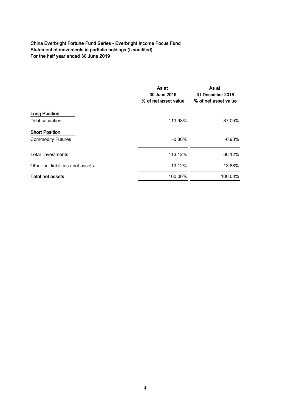# China Everbright Fortune Fund Series - Everbright Income Focus Fund Statement of movements in portfolio holdings (Unaudited) For the half year ended 30 June 2019

|                                    | As at<br>30 June 2019<br>% of net asset value | As at<br>31 December 2018<br>% of net asset value |
|------------------------------------|-----------------------------------------------|---------------------------------------------------|
| <b>Long Position</b>               |                                               |                                                   |
| Debt securities                    | 113.98%                                       | 87.05%                                            |
| <b>Short Position</b>              |                                               |                                                   |
| <b>Commodity Futures</b>           | $-0.86%$                                      | $-0.93\%$                                         |
| Total investments                  | 113.12%                                       | 86.12%                                            |
| Other net liabilities / net assets | $-13.12%$                                     | 13.88%                                            |
| <b>Total net assets</b>            | 100.00%                                       | 100.00%                                           |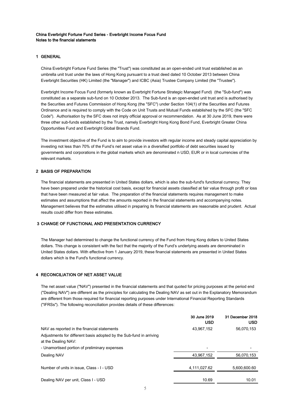#### China Everbright Fortune Fund Series - Everbright Income Focus Fund Notes to the financial statements

#### 1 GENERAL

China Everbright Fortune Fund Series (the "Trust") was constituted as an open-ended unit trust established as an umbrella unit trust under the laws of Hong Kong pursuant to a trust deed dated 10 October 2013 between China Everbright Securities (HK) Limited (the "Manager") and ICBC (Asia) Trustee Company Limited (the "Trustee").

Everbright Income Focus Fund (formerly known as Everbright Fortune Strategic Managed Fund) (the "Sub-fund") was constituted as a separate sub-fund on 10 October 2013. The Sub-fund is an open-ended unit trust and is authorised by the Securities and Futures Commission of Hong Kong (the "SFC") under Section 104(1) of the Securities and Futures Ordinance and is required to comply with the Code on Unit Trusts and Mutual Funds established by the SFC (the "SFC Code"). Authorisation by the SFC does not imply official approval or recommendation. As at 30 June 2019, there were three other sub-funds established by the Trust, namely Everbright Hong Kong Bond Fund, Everbright Greater China Opportunities Fund and Everbright Global Brands Fund.

The investment objective of the Fund is to aim to provide investors with regular income and steady capital appreciation by investing not less than 70% of the Fund's net asset value in a diversified portfolio of debt securities issued by governments and corporations in the global markets which are denominated n USD, EUR or in local currencies of the relevant markets.

#### 2 BASIS OF PREPARATION

The financial statements are presented in United States dollars, which is also the sub-fund's functional currency. They have been prepared under the historical cost basis, except for financial assets classified at fair value through profit or loss that have been measured at fair value. The preparation of the financial statements requires management to make estimates and assumptions that affect the amounts reported in the financial statements and accompanying notes. Management believes that the estimates utilised in preparing its financial statements are reasonable and prudent. Actual results could differ from these estimates.

#### 3 CHANGE OF FUNCTIONAL AND PRESENTATION CURRENCY

The Manager had determined to change the functional currency of the Fund from Hong Kong dollars to United States dollars. This change is consistent with the fact that the majority of the Fund's underlying assets are denominated in United States dollars. With effective from 1 January 2019, these financial statements are presented in United States dollars which is the Fund's functional currency.

#### 4 RECONCILIATION OF NET ASSET VALUE

The net asset value ("NAV") presented in the financial statements and that quoted for pricing purposes at the period end ("Dealing NAV") are different as the principles for calculating the Dealing NAV as set out in the Explanatory Memorandum are different from those required for financial reporting purposes under International Financial Reporting Standards ("IFRSs"). The following reconciliation provides details of these differences:

|                                                                                                                                             | 30 June 2019<br><b>USD</b> | 31 December 2018<br><b>USD</b> |
|---------------------------------------------------------------------------------------------------------------------------------------------|----------------------------|--------------------------------|
| NAV as reported in the financial statements                                                                                                 | 43.967.152                 | 56,070,153                     |
| Adjustments for different basis adopted by the Sub-fund in arriving<br>at the Dealing NAV:<br>- Unamortised portion of preliminary expenses |                            |                                |
| Dealing NAV                                                                                                                                 | 43.967.152                 | 56.070.153                     |
| Number of units in issue, Class - I - USD                                                                                                   | 4.111.027.62               | 5.600.600.60                   |
| Dealing NAV per unit, Class I - USD                                                                                                         | 10.69                      | 10.01                          |